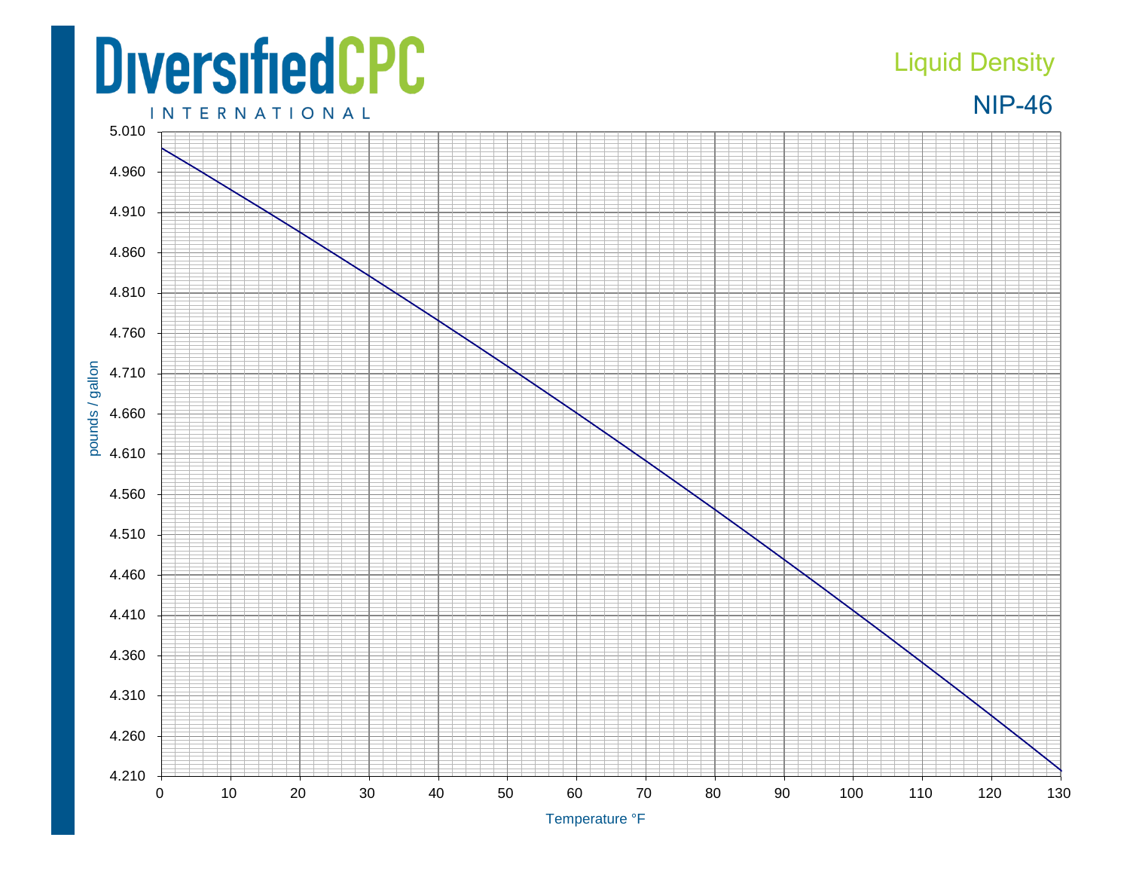## **DiversifiedCPC**

## Liquid Density



**INTERNATIONAL**